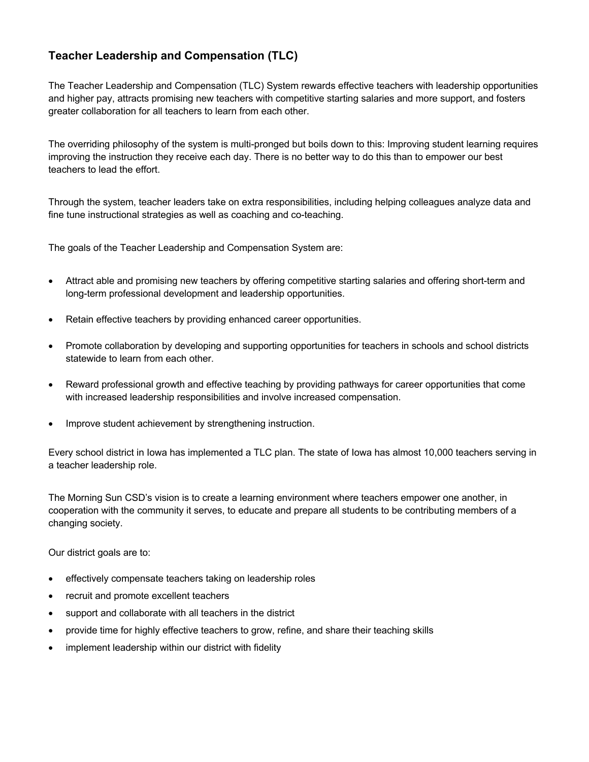## **Teacher Leadership and Compensation (TLC)**

The Teacher Leadership and Compensation (TLC) System rewards effective teachers with leadership opportunities and higher pay, attracts promising new teachers with competitive starting salaries and more support, and fosters greater collaboration for all teachers to learn from each other.

The overriding philosophy of the system is multi-pronged but boils down to this: Improving student learning requires improving the instruction they receive each day. There is no better way to do this than to empower our best teachers to lead the effort.

Through the system, teacher leaders take on extra responsibilities, including helping colleagues analyze data and fine tune instructional strategies as well as coaching and co-teaching.

The goals of the Teacher Leadership and Compensation System are:

- Attract able and promising new teachers by offering competitive starting salaries and offering short-term and long-term professional development and leadership opportunities.
- Retain effective teachers by providing enhanced career opportunities.
- Promote collaboration by developing and supporting opportunities for teachers in schools and school districts statewide to learn from each other.
- Reward professional growth and effective teaching by providing pathways for career opportunities that come with increased leadership responsibilities and involve increased compensation.
- Improve student achievement by strengthening instruction.

Every school district in Iowa has implemented a TLC plan. The state of Iowa has almost 10,000 teachers serving in a teacher leadership role.

The Morning Sun CSD's vision is to create a learning environment where teachers empower one another, in cooperation with the community it serves, to educate and prepare all students to be contributing members of a changing society.

Our district goals are to:

- effectively compensate teachers taking on leadership roles
- recruit and promote excellent teachers
- support and collaborate with all teachers in the district
- provide time for highly effective teachers to grow, refine, and share their teaching skills
- implement leadership within our district with fidelity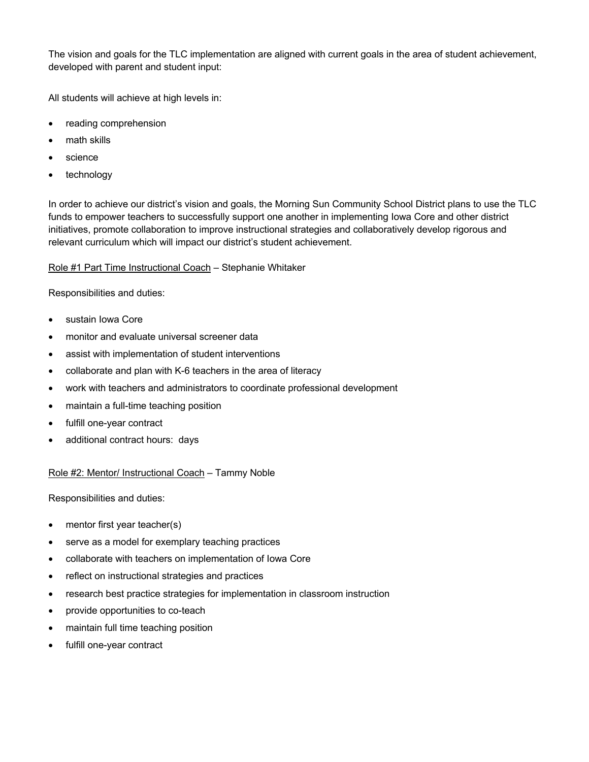The vision and goals for the TLC implementation are aligned with current goals in the area of student achievement, developed with parent and student input:

All students will achieve at high levels in:

- reading comprehension
- math skills
- science
- technology

In order to achieve our district's vision and goals, the Morning Sun Community School District plans to use the TLC funds to empower teachers to successfully support one another in implementing Iowa Core and other district initiatives, promote collaboration to improve instructional strategies and collaboratively develop rigorous and relevant curriculum which will impact our district's student achievement.

Role #1 Part Time Instructional Coach – Stephanie Whitaker

Responsibilities and duties:

- sustain Iowa Core
- monitor and evaluate universal screener data
- assist with implementation of student interventions
- collaborate and plan with K-6 teachers in the area of literacy
- work with teachers and administrators to coordinate professional development
- maintain a full-time teaching position
- fulfill one-year contract
- additional contract hours: days

Role #2: Mentor/ Instructional Coach – Tammy Noble

Responsibilities and duties:

- mentor first year teacher(s)
- serve as a model for exemplary teaching practices
- collaborate with teachers on implementation of Iowa Core
- reflect on instructional strategies and practices
- research best practice strategies for implementation in classroom instruction
- provide opportunities to co-teach
- maintain full time teaching position
- fulfill one-year contract